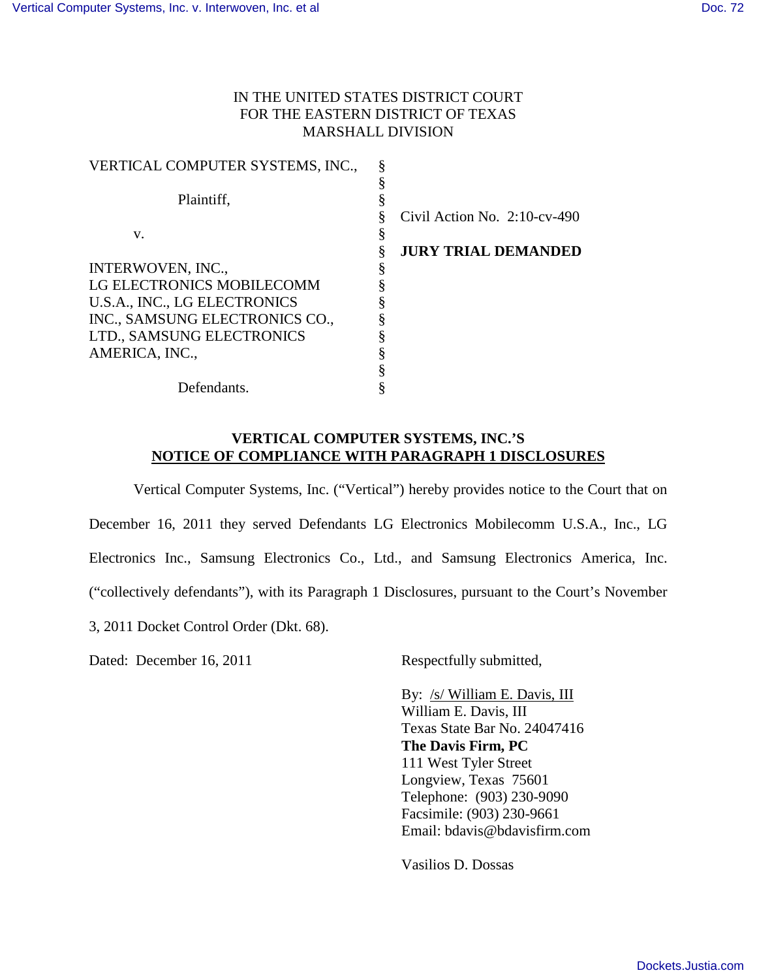## IN THE UNITED STATES DISTRICT COURT FOR THE EASTERN DISTRICT OF TEXAS MARSHALL DIVISION

| VERTICAL COMPUTER SYSTEMS, INC., |                                 |
|----------------------------------|---------------------------------|
|                                  |                                 |
| Plaintiff.                       |                                 |
|                                  | Civil Action No. $2:10$ -cv-490 |
| V.                               |                                 |
|                                  | <b>JURY TRIAL DEMANDED</b>      |
| INTERWOVEN, INC.,                |                                 |
| LG ELECTRONICS MOBILECOMM        |                                 |
| U.S.A., INC., LG ELECTRONICS     |                                 |
| INC., SAMSUNG ELECTRONICS CO.,   |                                 |
| LTD., SAMSUNG ELECTRONICS        |                                 |
| AMERICA, INC.,                   |                                 |
|                                  |                                 |
| Defendants.                      |                                 |

## **VERTICAL COMPUTER SYSTEMS, INC.'S NOTICE OF COMPLIANCE WITH PARAGRAPH 1 DISCLOSURES**

Vertical Computer Systems, Inc. ("Vertical") hereby provides notice to the Court that on December 16, 2011 they served Defendants LG Electronics Mobilecomm U.S.A., Inc., LG Electronics Inc., Samsung Electronics Co., Ltd., and Samsung Electronics America, Inc. ("collectively defendants"), with its Paragraph 1 Disclosures, pursuant to the Court's November 3, 2011 Docket Control Order (Dkt. 68).

Dated: December 16, 2011

Respectfully submitted,

By: /s/ William E. Davis, III William E. Davis, III Texas State Bar No. 24047416 **The Davis Firm, PC**  111 West Tyler Street Longview, Texas 75601 Telephone: (903) 230-9090 Facsimile: (903) 230-9661 Email: bdavis@bdavisfirm.com

Vasilios D. Dossas